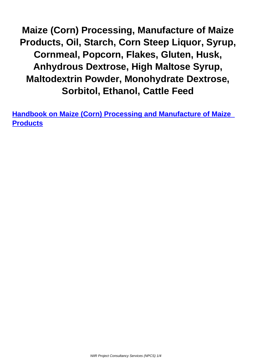**Maize (Corn) Processing, Manufacture of Maize Products, Oil, Starch, Corn Steep Liquor, Syrup, Cornmeal, Popcorn, Flakes, Gluten, Husk, Anhydrous Dextrose, High Maltose Syrup, Maltodextrin Powder, Monohydrate Dextrose, Sorbitol, Ethanol, Cattle Feed**

**Handbook on Maize (Corn) Processing and Manufacture of Maize Products**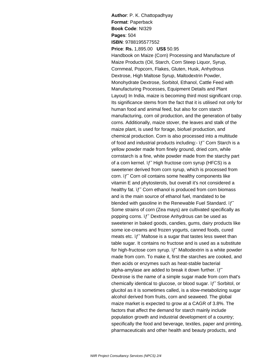**Author**: P. K. Chattopadhyay **Format**: Paperback **Book Code**: NI329 **Pages**: 504 **ISBN**: 9788195577552 **Price**: **Rs.** 1,895.00 **US\$** 50.95 Handbook on Maize (Corn) Processing and Manufacture of Maize Products (Oil, Starch, Corn Steep Liquor, Syrup, Cornmeal, Popcorn, Flakes, Gluten, Husk, Anhydrous Dextrose, High Maltose Syrup, Maltodextrin Powder, Monohydrate Dextrose, Sorbitol, Ethanol, Cattle Feed with Manufacturing Processes, Equipment Details and Plant Layout) In India, maize is becoming third most significant crop. Its significance stems from the fact that it is utilised not only for human food and animal feed, but also for corn starch manufacturing, corn oil production, and the generation of baby corns. Additionally, maize stover, the leaves and stalk of the maize plant, is used for forage, biofuel production, and chemical production. Corn is also processed into a multitude of food and industrial products including:-  $if$  Corn Starch is a yellow powder made from finely ground, dried corn, while cornstarch is a fine, white powder made from the starchy part of a corn kernel. if High fructose corn syrup (HFCS) is a sweetener derived from corn syrup, which is processed from corn.  $if$  Corn oil contains some healthy components like vitamin E and phytosterols, but overall it's not considered a healthy fat.  $if$  Corn ethanol is produced from corn biomass and is the main source of ethanol fuel, mandated to be blended with gasoline in the Renewable Fuel Standard.  $if$ Some strains of corn (Zea mays) are cultivated specifically as popping corns. if Dextrose Anhydrous can be used as sweetener in baked goods, candies, gums, dairy products like some ice-creams and frozen yogurts, canned foods, cured meats etc.  $if$  Maltose is a sugar that tastes less sweet than table sugar. It contains no fructose and is used as a substitute for high-fructose corn syrup. if" Maltodextrin is a white powder made from corn. To make it, first the starches are cooked, and then acids or enzymes such as heat-stable bacterial alpha-amylase are added to break it down further.  $if^{\sim}$ Dextrose is the name of a simple sugar made from corn that's chemically identical to glucose, or blood sugar. if Sorbitol, or glucitol as it is sometimes called, is a slow-metabolizing sugar alcohol derived from fruits, corn and seaweed. The global maize market is expected to grow at a CAGR of 3.8%. The factors that affect the demand for starch mainly include population growth and industrial development of a country; specifically the food and beverage, textiles, paper and printing, pharmaceuticals and other health and beauty products, and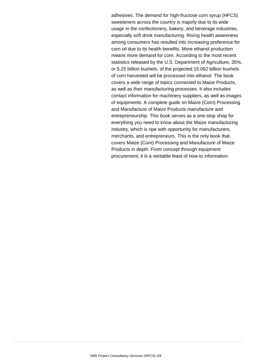adhesives. The demand for high-fructose corn syrup (HFCS) sweeteners across the country is majorly due to its wide usage in the confectionery, bakery, and beverage industries, especially soft drink manufacturing. Rising health awareness among consumers has resulted into increasing preference for corn oil due to its health benefits. More ethanol production means more demand for corn. According to the most recent statistics released by the U.S. Department of Agriculture, 35%, or 5.25 billion bushels, of the projected 15.062 billion bushels of corn harvested will be processed into ethanol. The book covers a wide range of topics connected to Maize Products, as well as their manufacturing processes. It also includes contact information for machinery suppliers, as well as images of equipments. A complete guide on Maize (Corn) Processing and Manufacture of Maize Products manufacture and entrepreneurship. This book serves as a one-stop shop for everything you need to know about the Maize manufacturing industry, which is ripe with opportunity for manufacturers, merchants, and entrepreneurs. This is the only book that covers Maize (Corn) Processing and Manufacture of Maize Products in depth. From concept through equipment procurement, it is a veritable feast of how-to information.